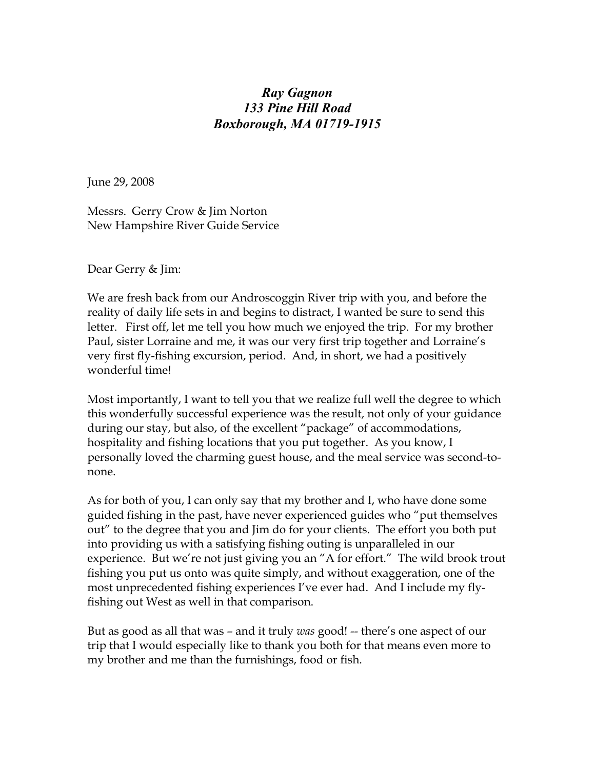## Ray Gagnon 133 Pine Hill Road Boxborough, MA 01719-1915

June 29, 2008

Messrs. Gerry Crow & Jim Norton New Hampshire River Guide Service

Dear Gerry & Jim:

We are fresh back from our Androscoggin River trip with you, and before the reality of daily life sets in and begins to distract, I wanted be sure to send this letter. First off, let me tell you how much we enjoyed the trip. For my brother Paul, sister Lorraine and me, it was our very first trip together and Lorraine's very first fly-fishing excursion, period. And, in short, we had a positively wonderful time!

Most importantly, I want to tell you that we realize full well the degree to which this wonderfully successful experience was the result, not only of your guidance during our stay, but also, of the excellent "package" of accommodations, hospitality and fishing locations that you put together. As you know, I personally loved the charming guest house, and the meal service was second-tonone.

As for both of you, I can only say that my brother and I, who have done some guided fishing in the past, have never experienced guides who "put themselves out" to the degree that you and Jim do for your clients. The effort you both put into providing us with a satisfying fishing outing is unparalleled in our experience. But we're not just giving you an "A for effort." The wild brook trout fishing you put us onto was quite simply, and without exaggeration, one of the most unprecedented fishing experiences I've ever had. And I include my flyfishing out West as well in that comparison.

But as good as all that was – and it truly was good! -- there's one aspect of our trip that I would especially like to thank you both for that means even more to my brother and me than the furnishings, food or fish.